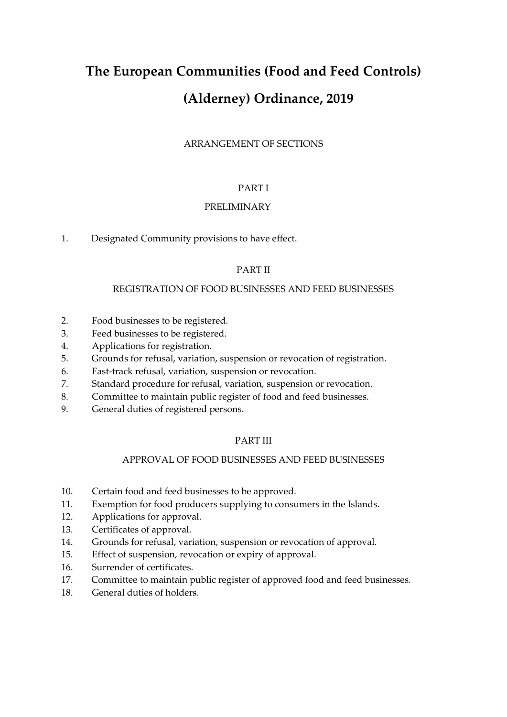# **The European Communities (Food and Feed Controls) (Alderney) Ordinance, 2019**

# ARRANGEMENT OF SECTIONS

## PART I

# PRELIMINARY

1. Designated Community provisions to have effect.

# PART II

#### REGISTRATION OF FOOD BUSINESSES AND FEED BUSINESSES

- 2. Food businesses to be registered.
- 3. Feed businesses to be registered.
- 4. Applications for registration.
- 5. Grounds for refusal, variation, suspension or revocation of registration.
- 6. Fast-track refusal, variation, suspension or revocation.
- 7. Standard procedure for refusal, variation, suspension or revocation.
- 8. Committee to maintain public register of food and feed businesses.
- 9. General duties of registered persons.

## PART III

## APPROVAL OF FOOD BUSINESSES AND FEED BUSINESSES

- 10. Certain food and feed businesses to be approved.
- 11. Exemption for food producers supplying to consumers in the Islands.
- 12. Applications for approval.
- 13. Certificates of approval.
- 14. Grounds for refusal, variation, suspension or revocation of approval.
- 15. Effect of suspension, revocation or expiry of approval.
- 16. Surrender of certificates.
- 17. Committee to maintain public register of approved food and feed businesses.
- 18. General duties of holders.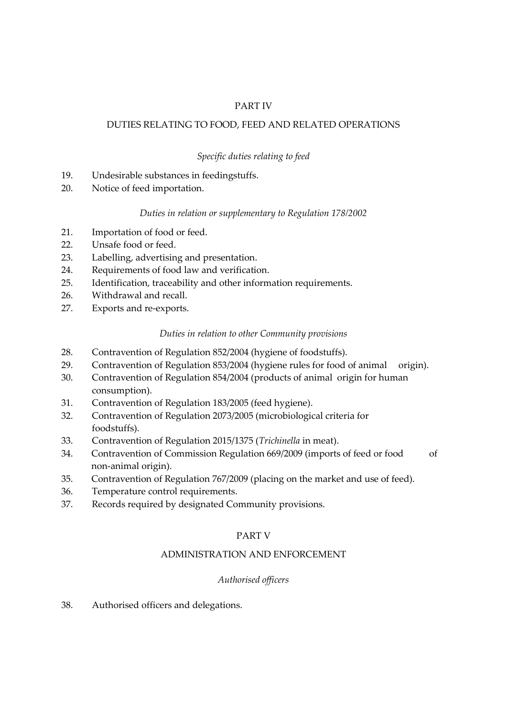# PART IV

## DUTIES RELATING TO FOOD, FEED AND RELATED OPERATIONS

## *Specific duties relating to feed*

- 19. Undesirable substances in feedingstuffs.
- 20. Notice of feed importation.

## *Duties in relation or supplementary to Regulation 178/2002*

- 21. Importation of food or feed.
- 22. Unsafe food or feed.
- 23. Labelling, advertising and presentation.
- 24. Requirements of food law and verification.
- 25. Identification, traceability and other information requirements.
- 26. Withdrawal and recall.
- 27. Exports and re-exports.

## *Duties in relation to other Community provisions*

- 28. Contravention of Regulation 852/2004 (hygiene of foodstuffs).
- 29. Contravention of Regulation 853/2004 (hygiene rules for food of animal origin).
- 30. Contravention of Regulation 854/2004 (products of animal origin for human consumption).
- 31. Contravention of Regulation 183/2005 (feed hygiene).
- 32. Contravention of Regulation 2073/2005 (microbiological criteria for foodstuffs).
- 33. Contravention of Regulation 2015/1375 (*Trichinella* in meat).
- 34. Contravention of Commission Regulation 669/2009 (imports of feed or food of non-animal origin).
- 35. Contravention of Regulation 767/2009 (placing on the market and use of feed).
- 36. Temperature control requirements.
- 37. Records required by designated Community provisions.

## PART V

## ADMINISTRATION AND ENFORCEMENT

## *Authorised officers*

38. Authorised officers and delegations.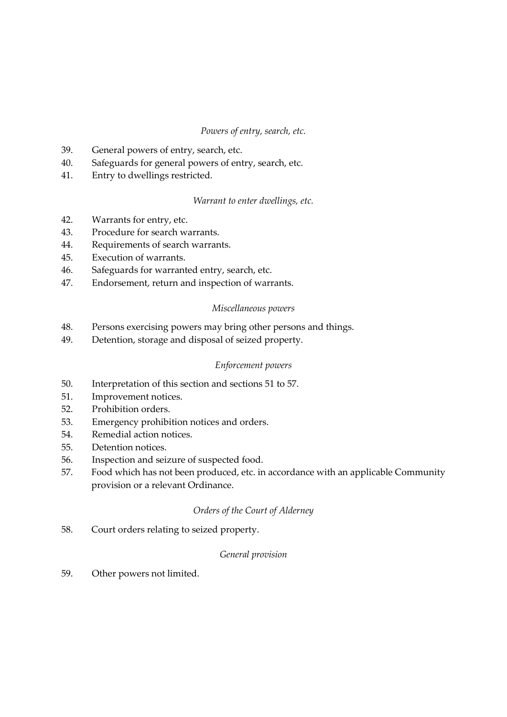## *Powers of entry, search, etc.*

- 39. General powers of entry, search, etc.
- 40. Safeguards for general powers of entry, search, etc.
- 41. Entry to dwellings restricted.

*Warrant to enter dwellings, etc.*

- 42. Warrants for entry, etc.
- 43. Procedure for search warrants.
- 44. Requirements of search warrants.
- 45. Execution of warrants.
- 46. Safeguards for warranted entry, search, etc.
- 47. Endorsement, return and inspection of warrants.

## *Miscellaneous powers*

- 48. Persons exercising powers may bring other persons and things.
- 49. Detention, storage and disposal of seized property.

## *Enforcement powers*

- 50. Interpretation of this section and sections 51 to 57.
- 51. Improvement notices.
- 52. Prohibition orders.
- 53. Emergency prohibition notices and orders.
- 54. Remedial action notices.
- 55. Detention notices.
- 56. Inspection and seizure of suspected food.
- 57. Food which has not been produced, etc. in accordance with an applicable Community provision or a relevant Ordinance.

## *Orders of the Court of Alderney*

58. Court orders relating to seized property.

## *General provision*

59. Other powers not limited.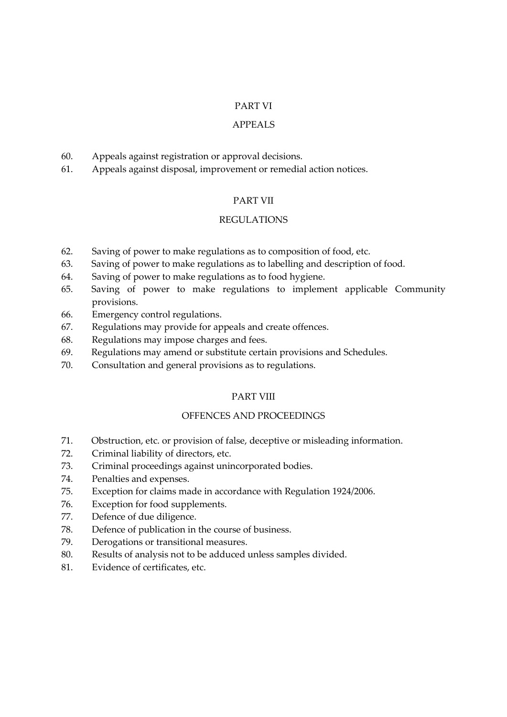## PART VI

#### APPEALS

- 60. Appeals against registration or approval decisions.
- 61. Appeals against disposal, improvement or remedial action notices.

#### PART VII

## REGULATIONS

- 62. Saving of power to make regulations as to composition of food, etc.
- 63. Saving of power to make regulations as to labelling and description of food.
- 64. Saving of power to make regulations as to food hygiene.
- 65. Saving of power to make regulations to implement applicable Community provisions.
- 66. Emergency control regulations.
- 67. Regulations may provide for appeals and create offences.
- 68. Regulations may impose charges and fees.
- 69. Regulations may amend or substitute certain provisions and Schedules.
- 70. Consultation and general provisions as to regulations.

#### PART VIII

#### OFFENCES AND PROCEEDINGS

- 71. Obstruction, etc. or provision of false, deceptive or misleading information.
- 72. Criminal liability of directors, etc.
- 73. Criminal proceedings against unincorporated bodies.
- 74. Penalties and expenses.
- 75. Exception for claims made in accordance with Regulation 1924/2006.
- 76. Exception for food supplements.
- 77. Defence of due diligence.
- 78. Defence of publication in the course of business.
- 79. Derogations or transitional measures.
- 80. Results of analysis not to be adduced unless samples divided.
- 81. Evidence of certificates, etc.